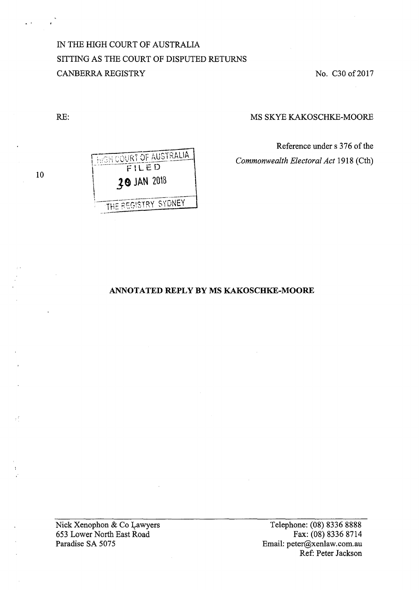IN THE HIGH COURT OF AUSTRALIA SITTING AS THE COURT OF DISPUTED RETURNS **CANBERRA REGISTRY** 

No. C30 of 2017

MS SKYE KAKOSCHKE-MOORE

Reference under s 376 of the Commonwealth Electoral Act 1918 (Cth)

 $10$ 

RE:



# ANNOTATED REPLY BY MS KAKOSCHKE-MOORE

Nick Xenophon & Co Lawyers 653 Lower North East Road Paradise SA 5075

Telephone: (08) 8336 8888 Fax: (08) 8336 8714 Email: peter@xenlaw.com.au Ref: Peter Jackson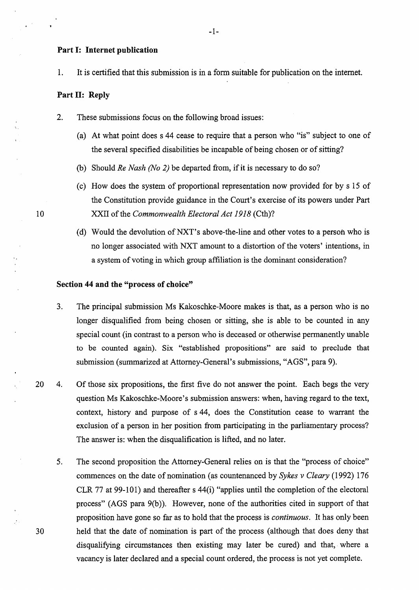### **Part 1: Internet publication**

1. It is certified that this submission is in a fonn suitable for publication on the internet.

# **Part 11: Reply**

- 2. These submissions focus on the following broad issues:
	- (a) At what point does s 44 cease to require that a person who "is" subject to one of the several specified disabilities be incapable of being chosen or of sitting?
	- (b) Should *Re Nash (No 2)* be departed from, if it is necessary to do so?
	- (c) How does the system of proportional representation now provided for by s 15 of the Constitution provide guidance in the Court's exercise of its powers under Part XXII of the *Commonwealth Electoral Act 1918* (Cth)?
	- (d) Would the devolution ofNXT's above-the-line and other votes to a person who is no longer associated with NXT amount to a distortion of the voters' intentions, in a system of voting in which group affiliation is the dominant consideration?

### **Section 44 and the "process of choice"**

- 3. The principal submission Ms Kakoschke-Moore makes is that, as a person who is no longer disqualified from being chosen or sitting, she is able to be counted in any special count (in contrast to a person who is deceased or otherwise permanently unable to be counted again). Six "established propositions" are said to preclude that submission (summarized at Attorney-General's submissions, "AGS", para 9).
- 20 4. Of those six propositions, the first five do not answer the point. Each begs the very question Ms Kakoschke-Moore's submission answers: when, having regard to the text, context, history and purpose of s 44, does the Constitution cease to warrant the exclusion of a person in her position from participating in the parliamentary process? The answer is: when the disqualification is lifted, and no later.
- 5. The second proposition the Attorney-General relies on is that the "process of choice" commences on the date of nomination (as countenanced by *Sykes v Cleary* (1992) 176 CLR 77 at 99-101) and thereafter s 44(i) "applies until the completion of the electoral process" (AGS para 9(b)). However, none of the authorities cited in support of that proposition have gone so far as to hold that the process is *continuous.* It has only been 30 held that the date of nomination is part of the process (although that does deny that disqualifying circumstances then existing may later be cured) and that, where a vacancy is later declared and a special count ordered, the process is not yet complete.

10

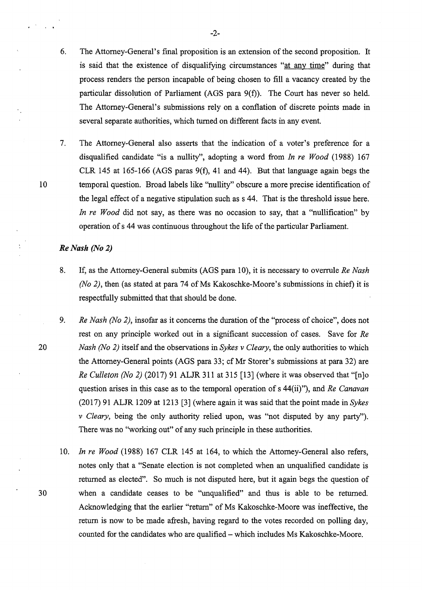- 6. The Attorney-General's final proposition is an extension of the second proposition. It is said that the existence of disqualifying circumstances "at any time" during that process renders the person incapable of being chosen to fill a vacancy created by the particular dissolution of Parliament (AGS para 9(f)). The Court has never so held. The Attorney-General's submissions rely on a conflation of discrete points made in several separate authorities, which turned on different facts in any event.
- 7. The Attorney-General also asserts that the indication of a voter's preference for a disqualified candidate "is a nullity", adopting a word from *In re Wood* (1988) 167 CLR 145 at 165-166 (AGS paras 9(f), 41 and 44). But that language again begs the 10 temporal question. Broad labels like "nullity" obscure a more precise identification of the legal effect of a negative stipulation such as s 44. That is the threshold issue here. *In re Wood* did not say, as there was no occasion to say, that a "nullification" by operation of s 44 was continuous throughout the life of the particular Parliament.

# *Re Nash (No 2)*

- 8. If, as the Attorney-General submits (AGS para 10), it is necessary to overrule *Re Nash (No 2)*, then (as stated at para 74 of Ms Kakoschke-Moore's submissions in chief) it is respectfully submitted that that should be done.
- 9. *Re Nash (No 2),* insofar as it concerns the duration of the "process of choice", does not rest on any principle worked out in a significant succession of cases. Save for *Re*  20 *Nash (No 2)* itself and the observations in *Sykes v Cleary,* the only authorities to which the Attorney-General points (AGS para 33; cf Mr Storer's submissions at para 32) are *Re Culleton (No 2)* (2017) 91 ALJR 311 at 315 [13] (where it was observed that "[n]o question arises in this case as to the temporal operation of s 44(ii)"), and *Re Canavan*  (2017) 91 ALJR 1209 at 1213 [3] (where again it was said that the point made in *Sykes v Cleary,* being the only authority relied upon, was "not disputed by any party"). There was no "working out" of any such principle in these authorities.

10. *In re Wood* (1988) 167 CLR 145 at 164, to which the Attorney-General also refers, notes only that a "Senate election is not completed when an unqualified candidate is returned as elected". So much is not disputed here, but it again begs the question of 30 when a candidate ceases to be "unqualified" and thus is able to be returned. Acknowledging that the earlier "return" of Ms Kakoschke-Moore was ineffective, the return is now to be made afresh, having regard to the votes recorded on polling day, counted for the candidates who are qualified- which includes Ms Kakoschke-Moore.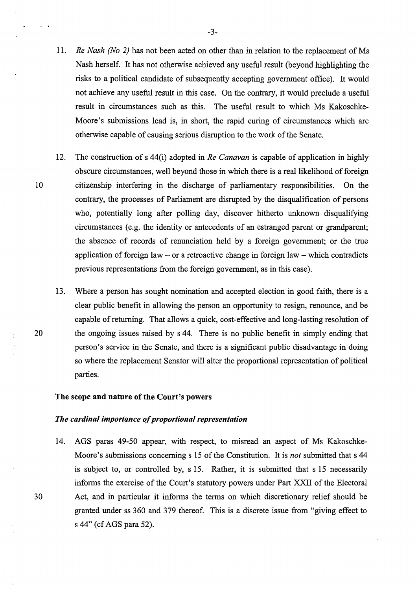- 11. *Re Nash (No 2)* has not been acted on other than in relation to the replacement of Ms Nash herself. It has not otherwise achieved any useful result (beyond highlighting the risks to a political candidate of subsequently accepting government office). It would not achieve any useful result in this case. On the contrary, it would preclude a useful result in circumstances such as this. The useful result to which Ms Kakoschke-Moore's submissions lead is, in short, the rapid curing of circumstances which are otherwise capable of causing serious disruption to the work of the Senate.
- 12. The construction of s 44(i) adopted in *Re Canavan* is capable of application in highly obscure circumstances, well beyond those in which there is a real likelihood of foreign 10 citizenship interfering in the discharge of parliamentary responsibilities. On the contrary, the processes of Parliament are disrupted by the disqualification of persons who, potentially long after polling day, discover hitherto unknown disqualifying circumstances (e.g. the identity or antecedents of an estranged parent or grandparent; the absence of records of renunciation held by a foreign government; or the true application of foreign law  $-$  or a retroactive change in foreign law  $-$  which contradicts previous representations from the foreign government, as in this case).
- 13. Where a person has sought nomination and accepted election in good faith, there is a clear public benefit in allowing the person an opportunity to resign, renounce, and be capable of returning. That allows a quick, cost-effective and long-lasting resolution of 20 the ongoing issues raised by s 44. There is no public benefit in simply ending that person's service in the Senate, and there is a significant public disadvantage in doing so where the replacement Senator will alter the proportional representation of political parties.

### The scope and nature of the Court's powers

#### *The cardinal importance of proportional representation*

14. AGS paras 49-50 appear, with respect, to misread an aspect of Ms Kakoschke-Moore's submissions concerning s 15 of the Constitution. It is *not* submitted that s 44 is subject to, or controlled by, s 15. Rather, it is submitted that s 15 necessarily informs the exercise of the Court's statutory powers under Part XXII of the Electoral 30 Act, and in particular it informs the terms on which discretionary relief should be granted under ss 360 and 379 thereof. This is a discrete issue from "giving effect to s 44" (cf AGS para 52).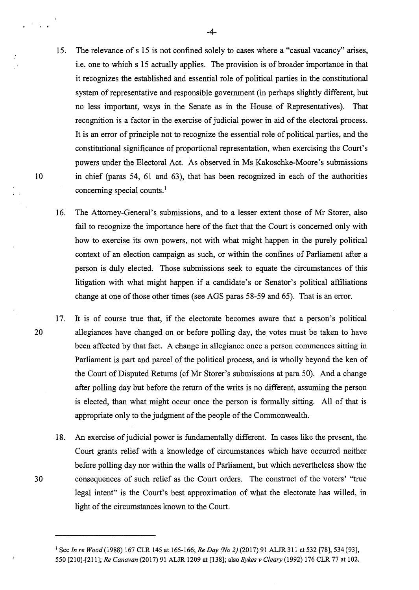- 15. The relevance of s 15 is not confined solely to cases where a "casual vacancy" arises, i.e. one to which s 15 actually applies. The provision is of broader importance in that it recognizes the established and essential role of political parties in the constitutional system of representative and responsible government (in perhaps slightly different, but no less important, ways in the Senate as in the House of Representatives). That recognition is a factor in the exercise of judicial power in aid of the electoral process. It is an error of principle not to recognize the essential role of political parties, and the constitutional significance of proportional representation, when exercising the Court's powers under the Electoral Act. As observed in Ms Kakoschke-Moore's submissions 10 in chief (paras 54, 61 and 63), that has been recognized in each of the authorities concerning special counts.<sup>1</sup>
	- 16. The Attorney-General's submissions, and to a lesser extent those of Mr Storer, also fail to recognize the importance here of the fact that the Court is concerned only with how to exercise its own powers, not with what might happen in the purely political context of an election campaign as such, or within the confines of Parliament after a person is duly elected. Those submissions seek to equate the circumstances of this litigation with what might happen if a candidate's or Senator's political affiliations change at one of those other times (see AGS paras 58-59 and 65). That is an error.
- 17. It is of course true that, if the electorate becomes aware that a person's political 20 allegiances have changed on or before polling day, the votes must be taken to have been affected by that fact. A change in allegiance once a person commences sitting in Parliament is part and parcel of the political process, and is wholly beyond the ken of the Court of Disputed Returns (cf Mr Storer's submissions at para 50). And a change after polling day but before the return of the writs is no different, assuming the person is elected, than what might occur once the person is formally sitting. All of that is appropriate only to the judgment of the people of the Commonwealth.
- 18. An exercise of judicial power is fundamentally different. In cases like the present, the Court grants relief with a knowledge of circumstances which have occurred neither before polling day nor within the walls of Parliament, but which nevertheless show the 30 consequences of such relief as the Court orders. The construct of the voters' "true legal intent" is the Court's best approximation of what the electorate has willed, in light of the circumstances known to the Court.

 $\mathcal{F}^{\mathcal{A}}(\mathcal{A})$  .

<sup>1</sup> See *In re Wood(1988)* 167 CLR 145 at 165-166; *Re Day (No 2)* (2017) 91 ALJR311 at 532 [78], 534 [93], 550 [210]-(211]; *Re Canavan* (2017) 91 ALJR 1209 at [138]; also *Sykes v Cleary* (1992) 176 CLR 77 at 102.